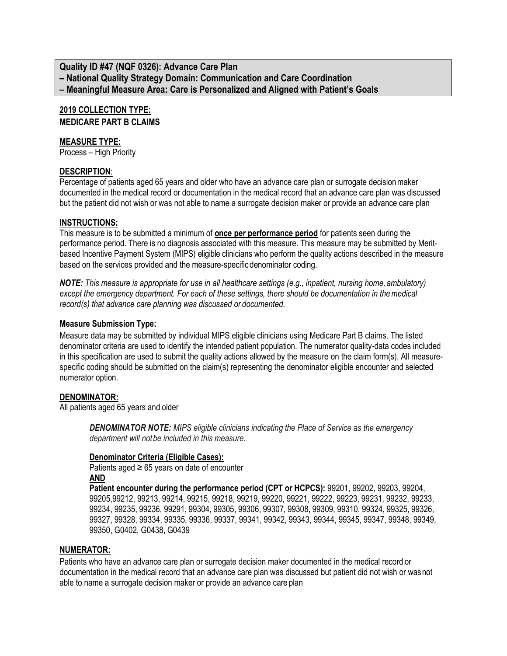**Quality ID #47 (NQF 0326): Advance Care Plan – National Quality Strategy Domain: Communication and Care Coordination – Meaningful Measure Area: Care is Personalized and Aligned with Patient's Goals**

# **2019 COLLECTION TYPE:**

**MEDICARE PART B CLAIMS**

#### **MEASURE TYPE:**

Process – High Priority

#### **DESCRIPTION**:

Percentage of patients aged 65 years and older who have an advance care plan or surrogate decisionmaker documented in the medical record or documentation in the medical record that an advance care plan was discussed but the patient did not wish or was not able to name a surrogate decision maker or provide an advance care plan

#### **INSTRUCTIONS:**

This measure is to be submitted a minimum of **once per performance period** for patients seen during the performance period. There is no diagnosis associated with this measure. This measure may be submitted by Meritbased Incentive Payment System (MIPS) eligible clinicians who perform the quality actions described in the measure based on the services provided and the measure-specific denominator coding.

*NOTE: This measure is appropriate for use in all healthcare settings (e.g., inpatient, nursing home, ambulatory) except the emergency department. For each of these settings, there should be documentation in themedical record(s) that advance care planning was discussed or documented.*

#### **Measure Submission Type:**

Measure data may be submitted by individual MIPS eligible clinicians using Medicare Part B claims. The listed denominator criteria are used to identify the intended patient population. The numerator quality-data codes included in this specification are used to submit the quality actions allowed by the measure on the claim form(s). All measurespecific coding should be submitted on the claim(s) representing the denominator eligible encounter and selected numerator option.

### **DENOMINATOR:**

All patients aged 65 years and older

*DENOMINATOR NOTE: MIPS eligible clinicians indicating the Place of Service as the emergency department will notbe included in this measure.*

#### **Denominator Criteria (Eligible Cases):**

Patients aged  $\geq 65$  years on date of encounter **AND**

**Patient encounter during the performance period (CPT or HCPCS):** 99201, 99202, 99203, 99204, 99205,99212, 99213, 99214, 99215, 99218, 99219, 99220, 99221, 99222, 99223, 99231, 99232, 99233, 99234, 99235, 99236, 99291, 99304, 99305, 99306, 99307, 99308, 99309, 99310, 99324, 99325, 99326, 99327, 99328, 99334, 99335, 99336, 99337, 99341, 99342, 99343, 99344, 99345, 99347, 99348, 99349, 99350, G0402, G0438, G0439

#### **NUMERATOR:**

Patients who have an advance care plan or surrogate decision maker documented in the medical record or documentation in the medical record that an advance care plan was discussed but patient did not wish or wasnot able to name a surrogate decision maker or provide an advance care plan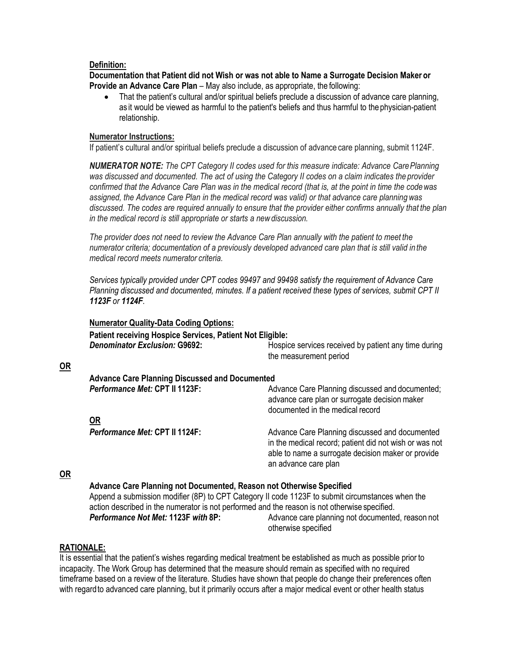#### **Definition:**

**Documentation that Patient did not Wish or was not able to Name a Surrogate Decision Maker or Provide an Advance Care Plan** – May also include, as appropriate, the following:

• That the patient's cultural and/or spiritual beliefs preclude a discussion of advance care planning, as it would be viewed as harmful to the patient's beliefs and thus harmful to the physician-patient relationship.

#### **Numerator Instructions:**

If patient's cultural and/or spiritual beliefs preclude a discussion of advance care planning, submit 1124F.

*NUMERATOR NOTE: The CPT Category II codes used for this measure indicate: Advance CarePlanning*  was discussed and documented. The act of using the Category II codes on a claim indicates the *provider confirmed that the Advance Care Plan was in the medical record (that is, at the point in time the codewas assigned, the Advance Care Plan in the medical record was valid) or that advance care planning was discussed. The codes are required annually to ensure that the provider either confirms annually that the plan in the medical record is still appropriate or starts a newdiscussion.*

*The provider does not need to review the Advance Care Plan annually with the patient to meet the numerator criteria; documentation of a previously developed advanced care plan that is still valid in the medical record meets numerator criteria.*

*Services typically provided under CPT codes 99497 and 99498 satisfy the requirement of Advance Care Planning discussed and documented, minutes. If a patient received these types of services, submit CPT II 1123F or 1124F*.

| <b>Denominator Exclusion: G9692:</b>                  | Hospice services received by patient any time during<br>the measurement period                                                                                                         |
|-------------------------------------------------------|----------------------------------------------------------------------------------------------------------------------------------------------------------------------------------------|
| <b>Advance Care Planning Discussed and Documented</b> |                                                                                                                                                                                        |
| Performance Met: CPT II 1123F:                        | Advance Care Planning discussed and documented;<br>advance care plan or surrogate decision maker<br>documented in the medical record                                                   |
| <b>OR</b>                                             |                                                                                                                                                                                        |
| Performance Met: CPT II 1124F:                        | Advance Care Planning discussed and documented<br>in the medical record; patient did not wish or was not<br>able to name a surrogate decision maker or provide<br>an advance care plan |

#### **OR**

**OR**

Append a submission modifier (8P) to CPT Category II code 1123F to submit circumstances when the action described in the numerator is not performed and the reason is not otherwise specified. **Performance Not Met: 1123F with 8P:** Advance care planning not documented, reason not otherwise specified

#### **RATIONALE:**

It is essential that the patient's wishes regarding medical treatment be established as much as possible prior to incapacity. The Work Group has determined that the measure should remain as specified with no required timeframe based on a review of the literature. Studies have shown that people do change their preferences often with regardto advanced care planning, but it primarily occurs after a major medical event or other health status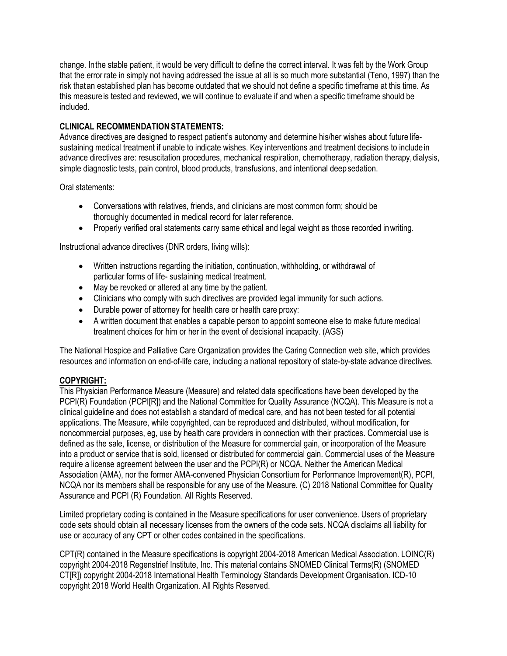change. Inthe stable patient, it would be very difficult to define the correct interval. It was felt by the Work Group that the error rate in simply not having addressed the issue at all is so much more substantial (Teno, 1997) than the risk thatan established plan has become outdated that we should not define a specific timeframe at this time. As this measureis tested and reviewed, we will continue to evaluate if and when a specific timeframe should be included.

## **CLINICAL RECOMMENDATION STATEMENTS:**

Advance directives are designed to respect patient's autonomy and determine his/her wishes about future lifesustaining medical treatment if unable to indicate wishes. Key interventions and treatment decisions to includein advance directives are: resuscitation procedures, mechanical respiration, chemotherapy, radiation therapy,dialysis, simple diagnostic tests, pain control, blood products, transfusions, and intentional deepsedation.

Oral statements:

- Conversations with relatives, friends, and clinicians are most common form; should be thoroughly documented in medical record for later reference.
- Properly verified oral statements carry same ethical and legal weight as those recorded inwriting.

Instructional advance directives (DNR orders, living wills):

- Written instructions regarding the initiation, continuation, withholding, or withdrawal of particular forms of life- sustaining medical treatment.
- May be revoked or altered at any time by the patient.
- Clinicians who comply with such directives are provided legal immunity for such actions.
- Durable power of attorney for health care or health care proxy:
- A written document that enables a capable person to appoint someone else to make future medical treatment choices for him or her in the event of decisional incapacity. (AGS)

The National Hospice and Palliative Care Organization provides the Caring Connection web site, which provides resources and information on end-of-life care, including a national repository of state-by-state advance directives.

#### **COPYRIGHT:**

This Physician Performance Measure (Measure) and related data specifications have been developed by the PCPI(R) Foundation (PCPI[R]) and the National Committee for Quality Assurance (NCQA). This Measure is not a clinical guideline and does not establish a standard of medical care, and has not been tested for all potential applications. The Measure, while copyrighted, can be reproduced and distributed, without modification, for noncommercial purposes, eg, use by health care providers in connection with their practices. Commercial use is defined as the sale, license, or distribution of the Measure for commercial gain, or incorporation of the Measure into a product or service that is sold, licensed or distributed for commercial gain. Commercial uses of the Measure require a license agreement between the user and the PCPI(R) or NCQA. Neither the American Medical Association (AMA), nor the former AMA-convened Physician Consortium for Performance Improvement(R), PCPI, NCQA nor its members shall be responsible for any use of the Measure. (C) 2018 National Committee for Quality Assurance and PCPI (R) Foundation. All Rights Reserved.

Limited proprietary coding is contained in the Measure specifications for user convenience. Users of proprietary code sets should obtain all necessary licenses from the owners of the code sets. NCQA disclaims all liability for use or accuracy of any CPT or other codes contained in the specifications.

CPT(R) contained in the Measure specifications is copyright 2004-2018 American Medical Association. LOINC(R) copyright 2004-2018 Regenstrief Institute, Inc. This material contains SNOMED Clinical Terms(R) (SNOMED CT[R]) copyright 2004-2018 International Health Terminology Standards Development Organisation. ICD-10 copyright 2018 World Health Organization. All Rights Reserved.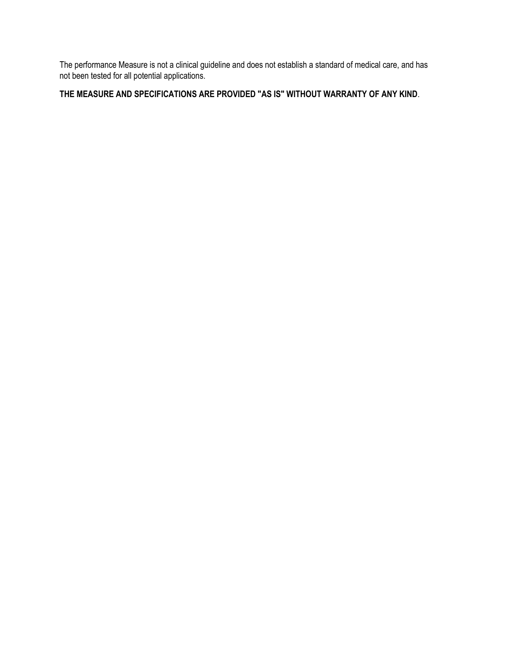The performance Measure is not a clinical guideline and does not establish a standard of medical care, and has not been tested for all potential applications.

# **THE MEASURE AND SPECIFICATIONS ARE PROVIDED "AS IS" WITHOUT WARRANTY OF ANY KIND**.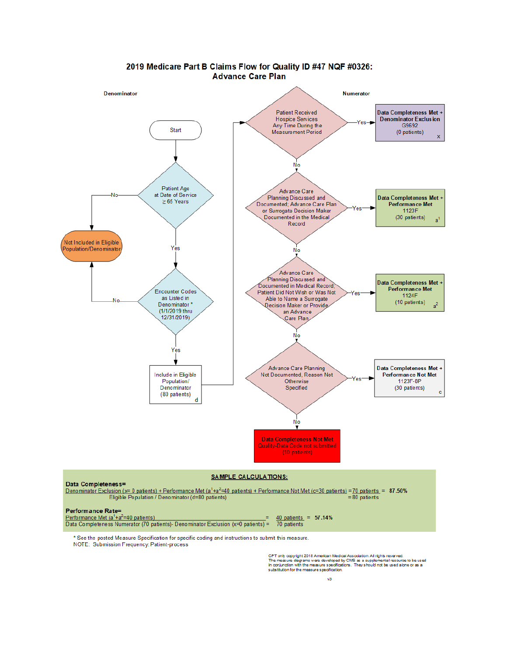

#### 2019 Medicare Part B Claims Flow for Quality ID #47 NQF #0326: **Advance Care Plan**

NOTE: Submission Frequency: Patient-process

CPT only copyright 2018 American Medical Association. All rights reserved.<br>The measure diagrams were developed by CMS as a supplemental resource to be used<br>in conjunction with the measure specifications. They should not be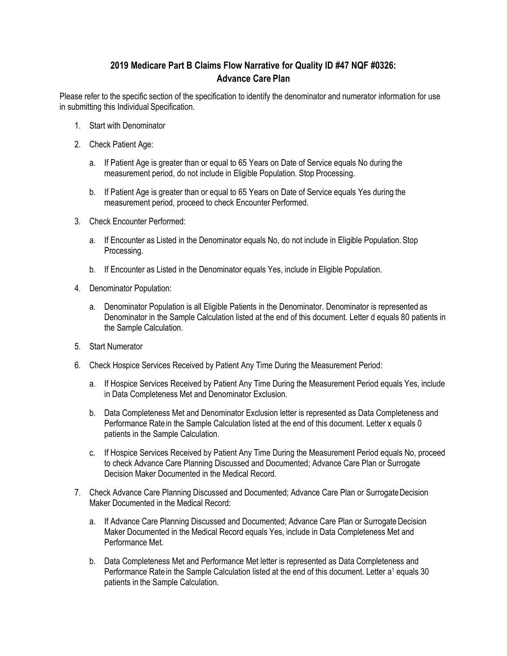## **2019 Medicare Part B Claims Flow Narrative for Quality ID #47 NQF #0326: Advance Care Plan**

Please refer to the specific section of the specification to identify the denominator and numerator information for use in submitting this Individual Specification.

- 1. Start with Denominator
- 2. Check Patient Age:
	- a. If Patient Age is greater than or equal to 65 Years on Date of Service equals No during the measurement period, do not include in Eligible Population. Stop Processing.
	- b. If Patient Age is greater than or equal to 65 Years on Date of Service equals Yes during the measurement period, proceed to check Encounter Performed.
- 3. Check Encounter Performed:
	- a. If Encounter as Listed in the Denominator equals No, do not include in Eligible Population. Stop Processing.
	- b. If Encounter as Listed in the Denominator equals Yes, include in Eligible Population.
- 4. Denominator Population:
	- a. Denominator Population is all Eligible Patients in the Denominator. Denominator is represented as Denominator in the Sample Calculation listed at the end of this document. Letter d equals 80 patients in the Sample Calculation.
- 5. Start Numerator
- 6. Check Hospice Services Received by Patient Any Time During the Measurement Period:
	- a. If Hospice Services Received by Patient Any Time During the Measurement Period equals Yes, include in Data Completeness Met and Denominator Exclusion.
	- b. Data Completeness Met and Denominator Exclusion letter is represented as Data Completeness and Performance Ratein the Sample Calculation listed at the end of this document. Letter x equals 0 patients in the Sample Calculation.
	- c. If Hospice Services Received by Patient Any Time During the Measurement Period equals No, proceed to check Advance Care Planning Discussed and Documented; Advance Care Plan or Surrogate Decision Maker Documented in the Medical Record.
- 7. Check Advance Care Planning Discussed and Documented; Advance Care Plan or Surrogate Decision Maker Documented in the Medical Record:
	- a. If Advance Care Planning Discussed and Documented; Advance Care Plan or Surrogate Decision Maker Documented in the Medical Record equals Yes, include in Data Completeness Met and Performance Met.
	- b. Data Completeness Met and Performance Met letter is represented as Data Completeness and Performance Rate in the Sample Calculation listed at the end of this document. Letter a<sup>1</sup> equals 30 patients in the Sample Calculation.